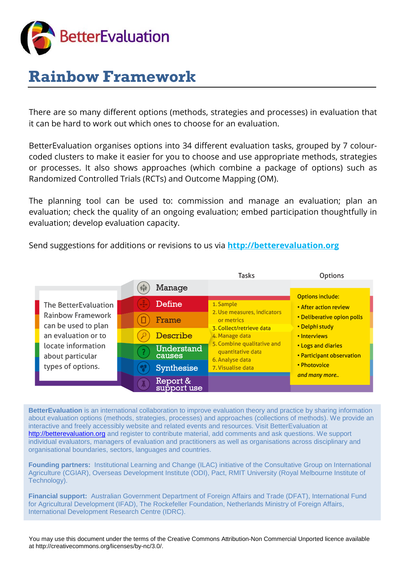

# **Rainbow Framework**

There are so many different options (methods, strategies and processes) in evaluation that it can be hard to work out which ones to choose for an evaluation.

BetterEvaluation organises options into 34 different evaluation tasks, grouped by 7 colourcoded clusters to make it easier for you to choose and use appropriate methods, strategies or processes. It also shows approaches (which combine a package of options) such as Randomized Controlled Trials (RCTs) and Outcome Mapping (OM).

The planning tool can be used to: commission and manage an evaluation; plan an evaluation; check the quality of an ongoing evaluation; embed participation thoughtfully in evaluation; develop evaluation capacity.

Send suggestions for additions or revisions to us via **[http://betterevaluation.org](http://betterevaluation.org/)**

|                                                                                                                                                        |   |                             | <b>Tasks</b>                                                                                                                                                                                                                                                                                                                       | Options                                                                  |
|--------------------------------------------------------------------------------------------------------------------------------------------------------|---|-----------------------------|------------------------------------------------------------------------------------------------------------------------------------------------------------------------------------------------------------------------------------------------------------------------------------------------------------------------------------|--------------------------------------------------------------------------|
|                                                                                                                                                        | 癖 | Manage                      |                                                                                                                                                                                                                                                                                                                                    |                                                                          |
| The BetterEvaluation<br>Rainbow Framework<br>can be used to plan<br>an evaluation or to<br>locate information<br>about particular<br>types of options. |   | Define                      | <b>Options include:</b><br>1. Sample<br>• After action review<br>2. Use measures, indicators<br>or metrics<br>• Delphi study<br>3. Collect/retrieve data<br>4. Manage data<br>• Interviews<br>5. Combine qualitative and<br><b>.</b> Logs and diaries<br>quantitative data<br>6. Analyse data<br>• Photovoice<br>7. Visualise data |                                                                          |
|                                                                                                                                                        |   | Frame                       |                                                                                                                                                                                                                                                                                                                                    | • Deliberative opion polls<br>• Participant observation<br>and many more |
|                                                                                                                                                        |   | Describe                    |                                                                                                                                                                                                                                                                                                                                    |                                                                          |
|                                                                                                                                                        | ? | <b>Understand</b><br>causes |                                                                                                                                                                                                                                                                                                                                    |                                                                          |
|                                                                                                                                                        |   | Synthesise                  |                                                                                                                                                                                                                                                                                                                                    |                                                                          |
|                                                                                                                                                        |   | Report &<br>support use     |                                                                                                                                                                                                                                                                                                                                    |                                                                          |

**BetterEvaluation** is an international collaboration to improve evaluation theory and practice by sharing information about evaluation options (methods, strategies, processes) and approaches (collections of methods). We provide an interactive and freely accessibly website and related events and resources. Visit BetterEvaluation at [http://betterevaluation.org](http://betterevaluation.org/) and register to contribute material, add comments and ask questions. We support individual evaluators, managers of evaluation and practitioners as well as organisations across disciplinary and organisational boundaries, sectors, languages and countries.

**Founding partners:** Institutional Learning and Change (ILAC) initiative of the Consultative Group on International Agriculture (CGIAR), Overseas Development Institute (ODI), Pact, RMIT University (Royal Melbourne Institute of Technology).

**Financial support:** Australian Government Department of Foreign Affairs and Trade (DFAT), International Fund for Agricultural Development (IFAD), The Rockefeller Foundation, Netherlands Ministry of Foreign Affairs, International Development Research Centre (IDRC).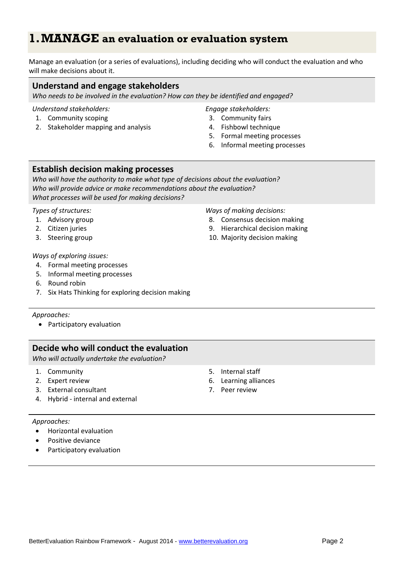# **1.MANAGE an evaluation or evaluation system**

Manage an evaluation (or a series of evaluations), including deciding who will conduct the evaluation and who will make decisions about it.

# **Understand and engage stakeholders**

*Who needs to be involved in the evaluation? How can they be identified and engaged?*

# *Understand stakeholders:*

- 1. Community scoping
- 2. Stakeholder mapping and analysis

## *Engage stakeholders:*

- 3. Community fairs
- 4. Fishbowl technique
- 5. Formal meeting processes
- 6. Informal meeting processes

# **Establish decision making processes**

*Who will have the authority to make what type of decisions about the evaluation? Who will provide advice or make recommendations about the evaluation? What processes will be used for making decisions?*

#### *Types of structures:*

- 1. Advisory group
- 2. Citizen juries
- 3. Steering group

#### *Ways of making decisions:* 8. Consensus decision making

- 
- 9. Hierarchical decision making
- 10. Majority decision making

# *Ways of exploring issues:*

- 4. Formal meeting processes
- 5. Informal meeting processes
- 6. Round robin
- 7. Six Hats Thinking for exploring decision making

## *Approaches:*

• Participatory evaluation

# **Decide who will conduct the evaluation**

*Who will actually undertake the evaluation?* 

- 1. Community
- 2. Expert review
- 3. External consultant
- 4. Hybrid internal and external

## *Approaches:*

- Horizontal evaluation
- Positive deviance
- Participatory evaluation
- 5. Internal staff
- 6. Learning alliances
- 7. Peer review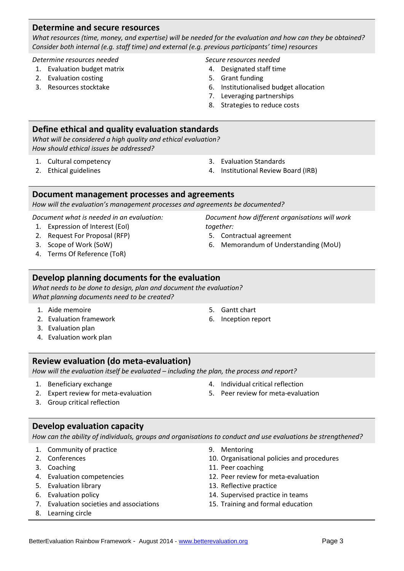# **Determine and secure resources**

*What resources (time, money, and expertise) will be needed for the evaluation and how can they be obtained? Consider both internal (e.g. staff time) and external (e.g. previous participants' time) resources*

*Determine resources needed*

- 1. Evaluation budget matrix
- 2. Evaluation costing
- 3. Resources stocktake

*Secure resources needed*

- 4. Designated staff time
- 5. Grant funding
- 6. Institutionalised budget allocation
- 7. Leveraging partnerships
- 8. Strategies to reduce costs

# **Define ethical and quality evaluation standards**

*What will be considered a high quality and ethical evaluation? How should ethical issues be addressed?*

- 1. Cultural competency
- 2. Ethical guidelines
- 3. Evaluation Standards
- 4. Institutional Review Board (IRB)

# **Document management processes and agreements**

*How will the evaluation's management processes and agreements be documented?*

*Document what is needed in an evaluation:*

- 1. Expression of Interest (EoI)
- 2. Request For Proposal (RFP)
- 3. Scope of Work (SoW)
- 4. Terms Of Reference (ToR)

# **Develop planning documents for the evaluation**

*What needs to be done to design, plan and document the evaluation? What planning documents need to be created?*

- 1. Aide memoire
- 2. Evaluation framework
- 3. Evaluation plan
- 4. Evaluation work plan

# **Review evaluation (do meta-evaluation)**

*How will the evaluation itself be evaluated – including the plan, the process and report?*

- 1. Beneficiary exchange
- 2. Expert review for meta-evaluation
- 4. Individual critical reflection
- 5. Peer review for meta-evaluation

3. Group critical reflection

# **Develop evaluation capacity**

*How can the ability of individuals, groups and organisations to conduct and use evaluations be strengthened?*

- 1. Community of practice
- 2. Conferences
- 3. Coaching
- 4. Evaluation competencies
- 5. Evaluation library
- 6. Evaluation policy
- 7. Evaluation societies and associations
- 8. Learning circle

9. Mentoring

5. Gantt chart 6. Inception report

- 10. Organisational policies and procedures
- 11. Peer coaching
- 12. Peer review for meta-evaluation
- 13. Reflective practice
- 14. Supervised practice in teams
- 15. Training and formal education
- *Document how different organisations will work together:*
- 5. Contractual agreement
- 6. Memorandum of Understanding (MoU)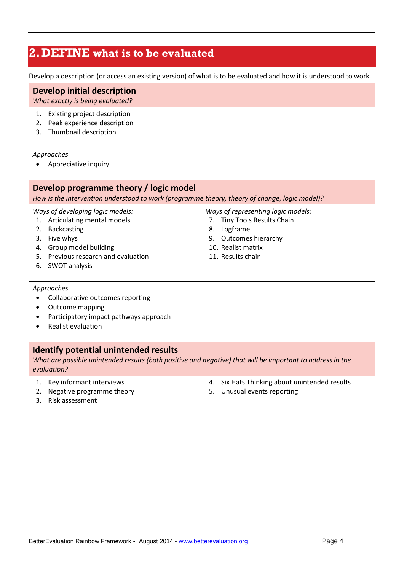# **2.DEFINE what is to be evaluated**

Develop a description (or access an existing version) of what is to be evaluated and how it is understood to work.

# **Develop initial description**

*What exactly is being evaluated?*

- 1. Existing project description
- 2. Peak experience description
- 3. Thumbnail description

## *Approaches*

• Appreciative inquiry

# **Develop programme theory / logic model**

*How is the intervention understood to work (programme theory, theory of change, logic model)?*

## *Ways of developing logic models:*

- 1. Articulating mental models
- 2. Backcasting
- 3. Five whys
- 4. Group model building
- 5. Previous research and evaluation
- 6. SWOT analysis

*Ways of representing logic models:*

- 7. Tiny Tools Results Chain
- 8. Logframe
- 9. Outcomes hierarchy
- 10. Realist matrix
- 11. Results chain

## *Approaches*

- Collaborative outcomes reporting
- Outcome mapping
- Participatory impact pathways approach
- Realist evaluation

# **Identify potential unintended results**

*What are possible unintended results (both positive and negative) that will be important to address in the evaluation?*

- 1. Key informant interviews
- 2. Negative programme theory 3. Risk assessment
- 4. Six Hats Thinking about unintended results
- 5. Unusual events reporting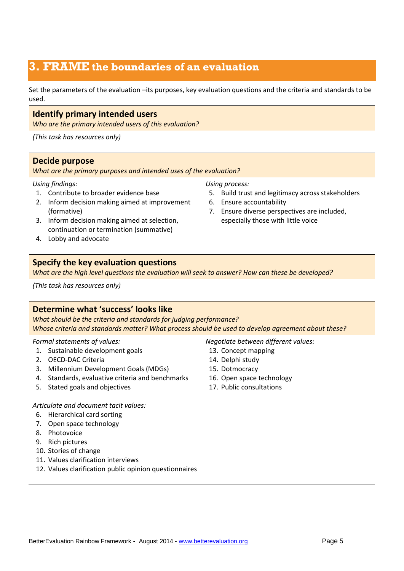# **3. FRAME the boundaries of an evaluation**

Set the parameters of the evaluation –its purposes, key evaluation questions and the criteria and standards to be used.

# **Identify primary intended users**

*Who are the primary intended users of this evaluation?*

*(This task has resources only)*

# **Decide purpose**

*What are the primary purposes and intended uses of the evaluation?* 

# *Using findings:*

- 1. Contribute to broader evidence base
- 2. Inform decision making aimed at improvement (formative)
- 3. Inform decision making aimed at selection, continuation or termination (summative)
- 4. Lobby and advocate

# **Specify the key evaluation questions**

*What are the high level questions the evaluation will seek to answer? How can these be developed?*

*(This task has resources only)*

# **Determine what 'success' looks like**

*What should be the criteria and standards for judging performance? Whose criteria and standards matter? What process should be used to develop agreement about these?*

## *Formal statements of values:*

- 1. Sustainable development goals
- 2. OECD-DAC Criteria
- 3. Millennium Development Goals (MDGs)
- 4. Standards, evaluative criteria and benchmarks
- 5. Stated goals and objectives

# *Articulate and document tacit values:*

- 6. Hierarchical card sorting
- 7. Open space technology
- 8. Photovoice
- 9. Rich pictures
- 10. Stories of change
- 11. Values clarification interviews
- 12. Values clarification public opinion questionnaires

# 6. Ensure accountability

*Using process:*

7. Ensure diverse perspectives are included, especially those with little voice

5. Build trust and legitimacy across stakeholders

## *Negotiate between different values:*

- 13. Concept mapping
- 14. Delphi study
- 15. Dotmocracy
- 16. Open space technology
- 17. Public consultations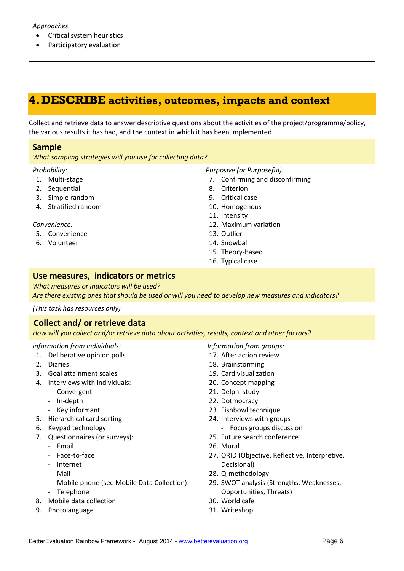#### *Approaches*

- Critical system heuristics
- Participatory evaluation

# **4.DESCRIBE activities, outcomes, impacts and context**

Collect and retrieve data to answer descriptive questions about the activities of the project/programme/policy, the various results it has had, and the context in which it has been implemented.

# **Sample**

*What sampling strategies will you use for collecting data?*

#### *Probability:*

- 1. Multi-stage
- 2. Sequential
- 3. Simple random
- 4. Stratified random

## *Convenience:*

- 5. Convenience
- 6. Volunteer

## *Purposive (or Purposeful):*

- 7. Confirming and disconfirming
- 8. Criterion
- 9. Critical case
- 10. Homogenous
- 11. Intensity
- 12. Maximum variation
- 13. Outlier
- 14. Snowball
- 15. Theory-based
- 16. Typical case

# **Use measures, indicators or metrics**

*What measures or indicators will be used?* 

*Are there existing ones that should be used or will you need to develop new measures and indicators?*

*(This task has resources only)*

# **Collect and/ or retrieve data**

*How will you collect and/or retrieve data about activities, results, context and other factors?*

## *Information from individuals:*

- 1. Deliberative opinion polls
- 2. Diaries
- 3. Goal attainment scales
- 4. Interviews with individuals:
	- Convergent
	- In-depth
	- Key informant
- 5. Hierarchical card sorting
- 6. Keypad technology
- 7. Questionnaires (or surveys):
	- Email
		- Face-to-face
		- Internet
		- Mail
		- Mobile phone (see Mobile Data Collection)
		- Telephone
- 8. Mobile data collection
- 9. Photolanguage

*Information from groups:*

- 17. After action review
- 18. Brainstorming
- 19. Card visualization
- 20. Concept mapping
- 21. Delphi study
- 23. Fishbowl technique
- 24. Interviews with groups
- 
- 
- 
- Decisional)
- 28. Q-methodology
- 29. SWOT analysis (Strengths, Weaknesses, Opportunities, Threats)
- 30. World cafe
- 31. Writeshop
- - 22. Dotmocracy
		- - Focus groups discussion
		- 25. Future search conference
		- 26. Mural
	- 27. ORID (Objective, Reflective, Interpretive,
	- -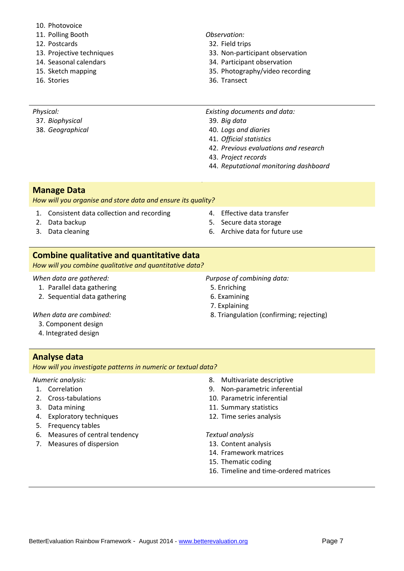- 10. Photovoice
- 11. Polling Booth
- 12. Postcards
- 13. Projective techniques
- 14. Seasonal calendars
- 15. Sketch mapping
- 16. Stories

# *Observation:*

- 32. Field trips
- 33. Non-participant observation
- 34. Participant observation
- 35. Photography/video recording
- 36. Transect

- *Physical:*
- 37. *Biophysical*
- 38. *Geographical*
- *Existing documents and data:*
- 39. *Big data*
- 40. *Logs and diaries*
- 41. *Official statistics*
- 42. *Previous evaluations and research*
- 43. *Project records*
- 44. *Reputational monitoring dashboard*

# **Manage Data**

*How will you organise and store data and ensure its quality?*

- 1. Consistent data collection and recording
- 2. Data backup
- 3. Data cleaning
- 4. Effective data transfer
- 5. Secure data storage
- 6. Archive data for future use

# **Combine qualitative and quantitative data**

*How will you combine qualitative and quantitative data?*

# *When data are gathered:*

- 1. Parallel data gathering
- 2. Sequential data gathering

*When data are combined:*

- 3. Component design
- 4. Integrated design

# **Analyse data**

*How will you investigate patterns in numeric or textual data?* 

# *Numeric analysis:*

- 1. Correlation
- 2. Cross-tabulations
- 3. Data mining
- 4. Exploratory techniques
- 5. Frequency tables
- 6. Measures of central tendency
- 7. Measures of dispersion
- 8. Multivariate descriptive
- 9. Non-parametric inferential
- 10. Parametric inferential
- 11. Summary statistics
- 12. Time series analysis

## *Textual analysis*

- 13. Content analysis
- 14. Framework matrices
- 15. Thematic coding
- 16. Timeline and time-ordered matrices
- *Purpose of combining data:* 5. Enriching
	-
	- 6. Examining
	- 7. Explaining
	- 8. Triangulation (confirming; rejecting)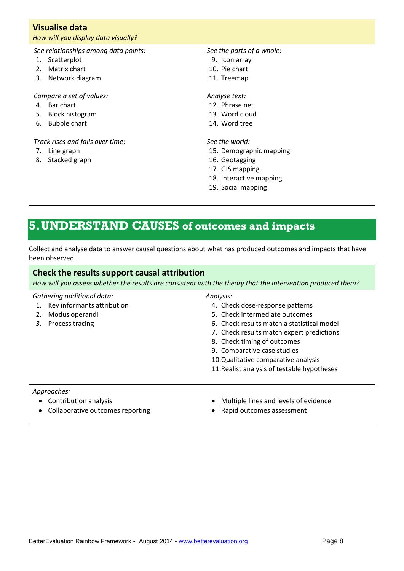# **Visualise data**

## *How will you display data visually?*

*See relationships among data points:*

- 1. Scatterplot
- 2. Matrix chart
- 3. Network diagram

## *Compare a set of values:*

- 4. Bar chart
- 5. Block histogram
- 6. Bubble chart

# *Track rises and falls over time:*

- 7. Line graph
- 8. Stacked graph

*See the parts of a whole:*

- 9. Icon array
- 10. Pie chart
- 11. Treemap

# *Analyse text:*

- 12. Phrase net
- 13. Word cloud
- 14. Word tree

# *See the world:*

- 15. Demographic mapping
- 16. Geotagging
- 17. GIS mapping
- 18. Interactive mapping
- 19. Social mapping

# **5.UNDERSTAND CAUSES of outcomes and impacts**

Collect and analyse data to answer causal questions about what has produced outcomes and impacts that have been observed.

# **Check the results support causal attribution**

*How will you assess whether the results are consistent with the theory that the intervention produced them?*

# *Gathering additional data:*

1. Key informants attribution

- 2. Modus operandi
- *3.* Process tracing

#### *Analysis:*

- 4. Check dose-response patterns
- 5. Check intermediate outcomes
- 6. Check results match a statistical model
- 7. Check results match expert predictions
- 8. Check timing of outcomes
- 9. Comparative case studies
- 10.Qualitative comparative analysis
- 11.Realist analysis of testable hypotheses

## *Approaches:*

- Contribution analysis
- Collaborative outcomes reporting
- Multiple lines and levels of evidence
- Rapid outcomes assessment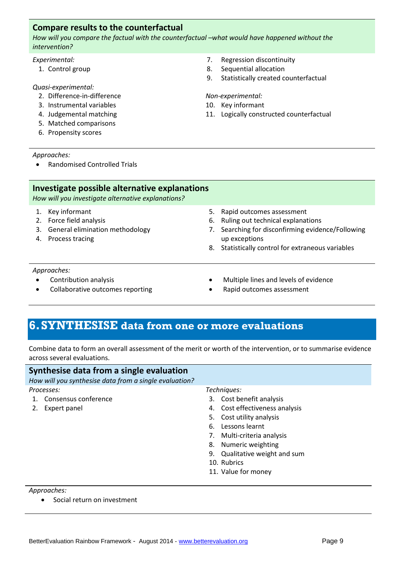# **Compare results to the counterfactual**

*How will you compare the factual with the counterfactual –what would have happened without the intervention?*

#### *Experimental:*

1. Control group

#### *Quasi-experimental:*

- 2. Difference-in-difference
- 3. Instrumental variables
- 4. Judgemental matching
- 5. Matched comparisons
- 6. Propensity scores

#### *Approaches:*

• Randomised Controlled Trials

- 7. Regression discontinuity
- 8. Sequential allocation
- 9. Statistically created counterfactual

#### *Non-experimental:*

- 10. Key informant
- 11. Logically constructed counterfactual

**Investigate possible alternative explanations** *How will you investigate alternative explanations?* 1. Key informant 2. Force field analysis 3. General elimination methodology 4. Process tracing 5. Rapid outcomes assessment 6. Ruling out technical explanations 7. Searching for disconfirming evidence/Following up exceptions 8. Statistically control for extraneous variables

#### *Approaches:*

- Contribution analysis
- Collaborative outcomes reporting
- Multiple lines and levels of evidence
- Rapid outcomes assessment

# **6.SYNTHESISE data from one or more evaluations**

Combine data to form an overall assessment of the merit or worth of the intervention, or to summarise evidence across several evaluations.

| Synthesise data from a single evaluation               |                                  |
|--------------------------------------------------------|----------------------------------|
| How will you synthesise data from a single evaluation? |                                  |
| Processes:                                             | Techniques:                      |
| Consensus conference                                   | 3. Cost benefit analysis         |
| Expert panel<br>2.                                     | 4. Cost effectiveness analysis   |
|                                                        | 5. Cost utility analysis         |
|                                                        | Lessons learnt<br>6.             |
|                                                        | Multi-criteria analysis<br>7.    |
|                                                        | Numeric weighting<br>8.          |
|                                                        | Qualitative weight and sum<br>9. |
|                                                        | 10. Rubrics                      |
|                                                        | 11. Value for money              |
|                                                        |                                  |
| Approaches:                                            |                                  |

Social return on investment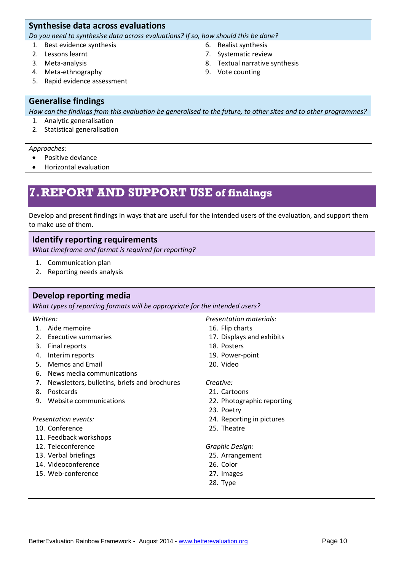# **Synthesise data across evaluations**

*Do you need to synthesise data across evaluations? If so, how should this be done?*

- 1. Best evidence synthesis
- 2. Lessons learnt
- 3. Meta-analysis
- 4. Meta-ethnography
- 5. Rapid evidence assessment

# **Generalise findings**

*How can the findings from this evaluation be generalised to the future, to other sites and to other programmes?*

- 1. Analytic generalisation
- 2. Statistical generalisation

#### *Approaches:*

- Positive deviance
- Horizontal evaluation

# **7.REPORT AND SUPPORT USE of findings**

Develop and present findings in ways that are useful for the intended users of the evaluation, and support them to make use of them.

# **Identify reporting requirements**

*What timeframe and format is required for reporting?*

- 1. Communication plan
- 2. Reporting needs analysis

# **Develop reporting media**

*What types of reporting formats will be appropriate for the intended users?*

## *Written:*

- 1. Aide memoire
- 2. Executive summaries
- 3. Final reports
- 4. Interim reports
- 5. Memos and Email
- 6. News media communications
- 7. Newsletters, bulletins, briefs and brochures
- 8. Postcards
- 9. Website communications

## *Presentation events:*

- 10. Conference
- 11. Feedback workshops
- 12. Teleconference
- 13. Verbal briefings
- 14. Videoconference
- 15. Web-conference
- *Presentation materials:*
- 16. Flip charts
- 17. Displays and exhibits
- 18. Posters
- 19. Power-point
- 20. Video

# *Creative:*

- 21. Cartoons
- 22. Photographic reporting
- 23. Poetry
- 24. Reporting in pictures
- 25. Theatre

#### *Graphic Design:*

- 25. Arrangement
- 26. Color
- 27. Images
- 28. Type
- 6. Realist synthesis
- 7. Systematic review
- 8. Textual narrative synthesis
- 9. Vote counting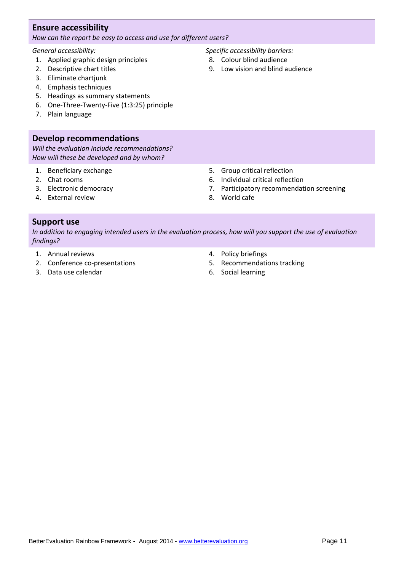# **Ensure accessibility**

*How can the report be easy to access and use for different users?*

# *General accessibility:*

- 1. Applied graphic design principles
- 2. Descriptive chart titles
- 3. Eliminate chartjunk
- 4. Emphasis techniques
- 5. Headings as summary statements
- 6. One-Three-Twenty-Five (1:3:25) principle
- 7. Plain language

# **Develop recommendations**

*Will the evaluation include recommendations? How will these be developed and by whom?*

- 1. Beneficiary exchange
- 2. Chat rooms
- 3. Electronic democracy
- 4. External review

# **Support use**

*In addition to engaging intended users in the evaluation process, how will you support the use of evaluation findings?*

- 1. Annual reviews
- 2. Conference co-presentations
- 3. Data use calendar

4. Policy briefings

8. World cafe

- 5. Recommendations tracking
- 6. Social learning
- *Specific accessibility barriers:*
- 8. Colour blind audience

5. Group critical reflection 6. Individual critical reflection

7. Participatory recommendation screening

9. Low vision and blind audience